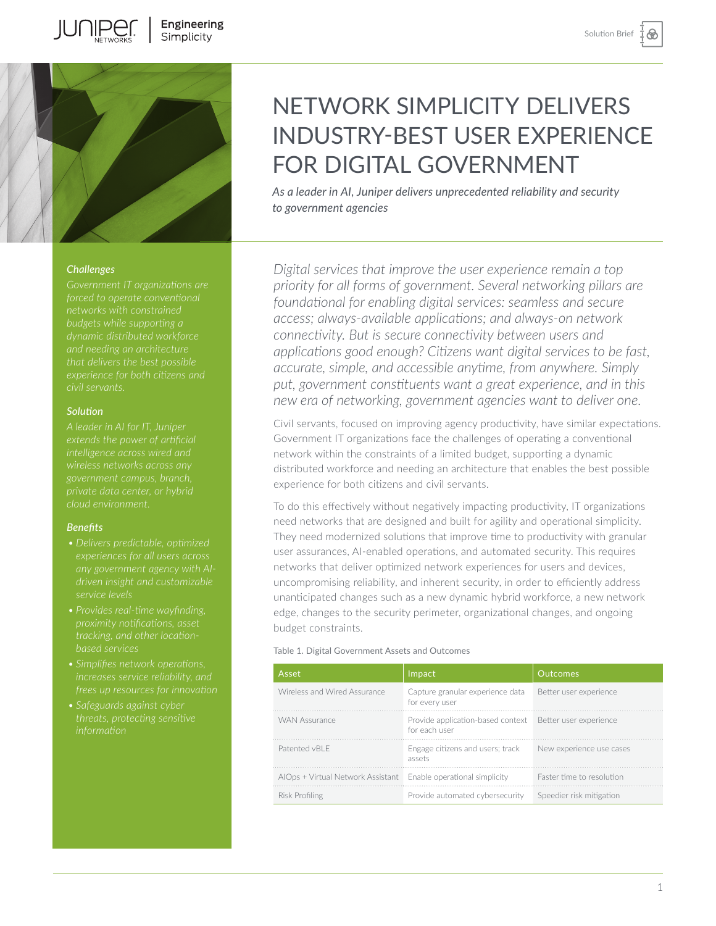

## *Challenges*

*budgets while supporting a dynamic distributed workforce and needing an architecture* 

## *Solution*

*government campus, branch, private data center, or hybrid* 

## *Benefits*

- 
- 
- *• Simplifies network operations,*
- *• Safeguards against cyber*

# NETWORK SIMPLICITY DELIVERS INDUSTRY-BEST USER EXPERIENCE FOR DIGITAL GOVERNMENT

*As a leader in AI, Juniper delivers unprecedented reliability and security to government agencies* 

*Digital services that improve the user experience remain a top priority for all forms of government. Several networking pillars are foundational for enabling digital services: seamless and secure access; always-available applications; and always-on network connectivity. But is secure connectivity between users and applications good enough? Citizens want digital services to be fast, accurate, simple, and accessible anytime, from anywhere. Simply put, government constituents want a great experience, and in this new era of networking, government agencies want to deliver one.*

Civil servants, focused on improving agency productivity, have similar expectations. Government IT organizations face the challenges of operating a conventional network within the constraints of a limited budget, supporting a dynamic distributed workforce and needing an architecture that enables the best possible experience for both citizens and civil servants.

To do this effectively without negatively impacting productivity, IT organizations need networks that are designed and built for agility and operational simplicity. They need modernized solutions that improve time to productivity with granular user assurances, AI-enabled operations, and automated security. This requires networks that deliver optimized network experiences for users and devices, uncompromising reliability, and inherent security, in order to efficiently address unanticipated changes such as a new dynamic hybrid workforce, a new network edge, changes to the security perimeter, organizational changes, and ongoing budget constraints.

#### Table 1. Digital Government Assets and Outcomes

| Asset                                                           | Impact                                                                    | <b>Outcomes</b>           |
|-----------------------------------------------------------------|---------------------------------------------------------------------------|---------------------------|
| Wireless and Wired Assurance                                    | Capture granular experience data<br>for every user                        | Better user experience    |
| <b>WAN Assurance</b>                                            | Provide application-based context Better user experience<br>for each user |                           |
| Patented vBLF                                                   | Engage citizens and users; track<br>assets                                | New experience use cases  |
| AIOps + Virtual Network Assistant Enable operational simplicity |                                                                           | Faster time to resolution |
| Risk Profiling                                                  | Provide automated cybersecurity                                           | Speedier risk mitigation  |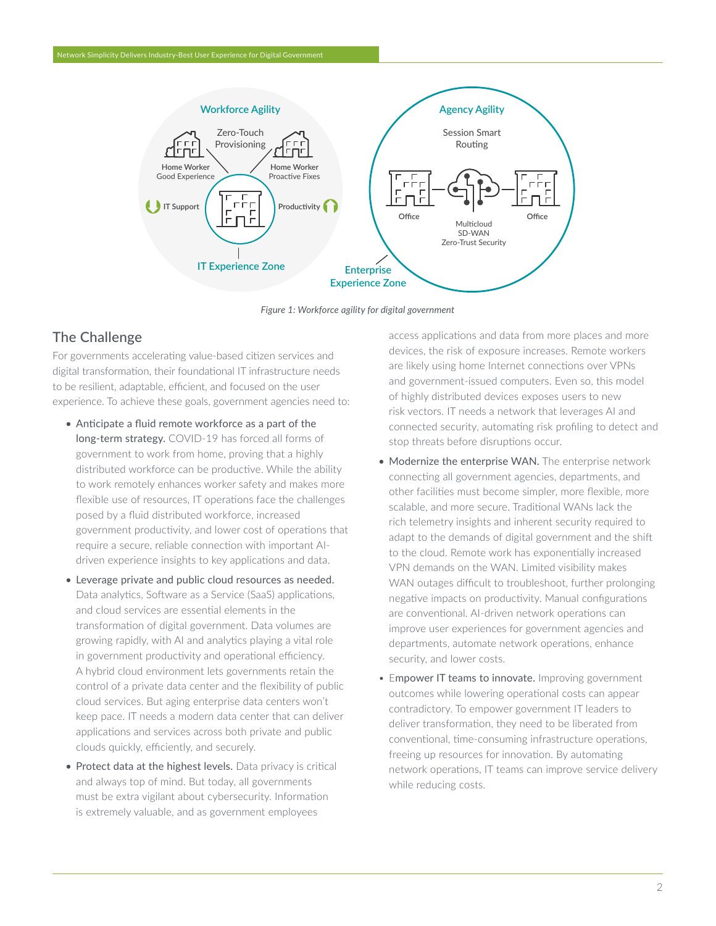

*Figure 1: Workforce agility for digital government*

# The Challenge

For governments accelerating value-based citizen services and digital transformation, their foundational IT infrastructure needs to be resilient, adaptable, efficient, and focused on the user experience. To achieve these goals, government agencies need to:

- Anticipate a fluid remote workforce as a part of the long-term strategy. COVID-19 has forced all forms of government to work from home, proving that a highly distributed workforce can be productive. While the ability to work remotely enhances worker safety and makes more flexible use of resources, IT operations face the challenges posed by a fluid distributed workforce, increased government productivity, and lower cost of operations that require a secure, reliable connection with important AIdriven experience insights to key applications and data.
- Leverage private and public cloud resources as needed. Data analytics, Software as a Service (SaaS) applications, and cloud services are essential elements in the transformation of digital government. Data volumes are growing rapidly, with AI and analytics playing a vital role in government productivity and operational efficiency. A hybrid cloud environment lets governments retain the control of a private data center and the flexibility of public cloud services. But aging enterprise data centers won't keep pace. IT needs a modern data center that can deliver applications and services across both private and public clouds quickly, efficiently, and securely.
- Protect data at the highest levels. Data privacy is critical and always top of mind. But today, all governments must be extra vigilant about cybersecurity. Information is extremely valuable, and as government employees

access applications and data from more places and more devices, the risk of exposure increases. Remote workers are likely using home Internet connections over VPNs and government-issued computers. Even so, this model of highly distributed devices exposes users to new risk vectors. IT needs a network that leverages AI and connected security, automating risk profiling to detect and stop threats before disruptions occur.

- Modernize the enterprise WAN. The enterprise network connecting all government agencies, departments, and other facilities must become simpler, more flexible, more scalable, and more secure. Traditional WANs lack the rich telemetry insights and inherent security required to adapt to the demands of digital government and the shift to the cloud. Remote work has exponentially increased VPN demands on the WAN. Limited visibility makes WAN outages difficult to troubleshoot, further prolonging negative impacts on productivity. Manual configurations are conventional. AI-driven network operations can improve user experiences for government agencies and departments, automate network operations, enhance security, and lower costs.
- Empower IT teams to innovate. Improving government outcomes while lowering operational costs can appear contradictory. To empower government IT leaders to deliver transformation, they need to be liberated from conventional, time-consuming infrastructure operations, freeing up resources for innovation. By automating network operations, IT teams can improve service delivery while reducing costs.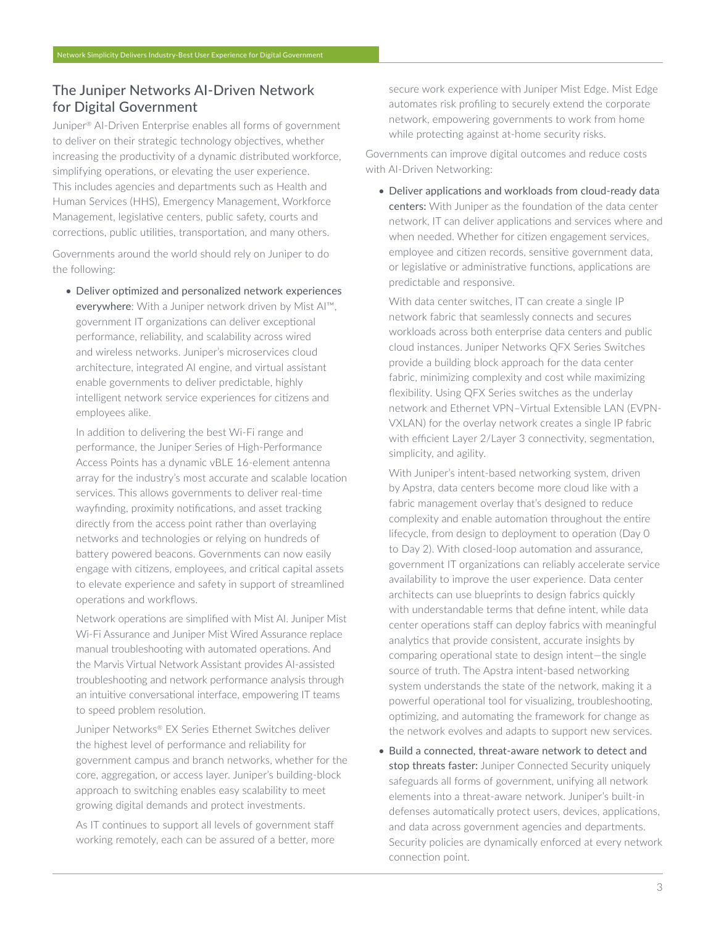# The Juniper Networks AI-Driven Network for Digital Government

Juniper® AI-Driven Enterprise enables all forms of government to deliver on their strategic technology objectives, whether increasing the productivity of a dynamic distributed workforce, simplifying operations, or elevating the user experience. This includes agencies and departments such as Health and Human Services (HHS), Emergency Management, Workforce Management, legislative centers, public safety, courts and corrections, public utilities, transportation, and many others.

Governments around the world should rely on Juniper to do the following:

• Deliver optimized and personalized network experiences everywhere: With a Juniper network driven by Mist AI™, government IT organizations can deliver exceptional performance, reliability, and scalability across wired and wireless networks. Juniper's microservices cloud architecture, integrated AI engine, and virtual assistant enable governments to deliver predictable, highly intelligent network service experiences for citizens and employees alike.

In addition to delivering the best Wi-Fi range and performance, the Juniper Series of High-Performance Access Points has a dynamic vBLE 16-element antenna array for the industry's most accurate and scalable location services. This allows governments to deliver real-time wayfinding, proximity notifications, and asset tracking directly from the access point rather than overlaying networks and technologies or relying on hundreds of battery powered beacons. Governments can now easily engage with citizens, employees, and critical capital assets to elevate experience and safety in support of streamlined operations and workflows.

Network operations are simplified with Mist AI. Juniper Mist Wi-Fi Assurance and Juniper Mist Wired Assurance replace manual troubleshooting with automated operations. And the Marvis Virtual Network Assistant provides AI-assisted troubleshooting and network performance analysis through an intuitive conversational interface, empowering IT teams to speed problem resolution.

Juniper Networks® EX Series Ethernet Switches deliver the highest level of performance and reliability for government campus and branch networks, whether for the core, aggregation, or access layer. Juniper's building-block approach to switching enables easy scalability to meet growing digital demands and protect investments.

As IT continues to support all levels of government staff working remotely, each can be assured of a better, more secure work experience with Juniper Mist Edge. Mist Edge automates risk profiling to securely extend the corporate network, empowering governments to work from home while protecting against at-home security risks.

Governments can improve digital outcomes and reduce costs with AI-Driven Networking:

• Deliver applications and workloads from cloud-ready data centers: With Juniper as the foundation of the data center network, IT can deliver applications and services where and when needed. Whether for citizen engagement services, employee and citizen records, sensitive government data, or legislative or administrative functions, applications are predictable and responsive.

With data center switches, IT can create a single IP network fabric that seamlessly connects and secures workloads across both enterprise data centers and public cloud instances. Juniper Networks QFX Series Switches provide a building block approach for the data center fabric, minimizing complexity and cost while maximizing flexibility. Using QFX Series switches as the underlay network and Ethernet VPN–Virtual Extensible LAN (EVPN-VXLAN) for the overlay network creates a single IP fabric with efficient Layer 2/Layer 3 connectivity, segmentation, simplicity, and agility.

With Juniper's intent-based networking system, driven by Apstra, data centers become more cloud like with a fabric management overlay that's designed to reduce complexity and enable automation throughout the entire lifecycle, from design to deployment to operation (Day 0 to Day 2). With closed-loop automation and assurance, government IT organizations can reliably accelerate service availability to improve the user experience. Data center architects can use blueprints to design fabrics quickly with understandable terms that define intent, while data center operations staff can deploy fabrics with meaningful analytics that provide consistent, accurate insights by comparing operational state to design intent—the single source of truth. The Apstra intent-based networking system understands the state of the network, making it a powerful operational tool for visualizing, troubleshooting, optimizing, and automating the framework for change as the network evolves and adapts to support new services.

• Build a connected, threat-aware network to detect and stop threats faster: Juniper Connected Security uniquely safeguards all forms of government, unifying all network elements into a threat-aware network. Juniper's built-in defenses automatically protect users, devices, applications, and data across government agencies and departments. Security policies are dynamically enforced at every network connection point.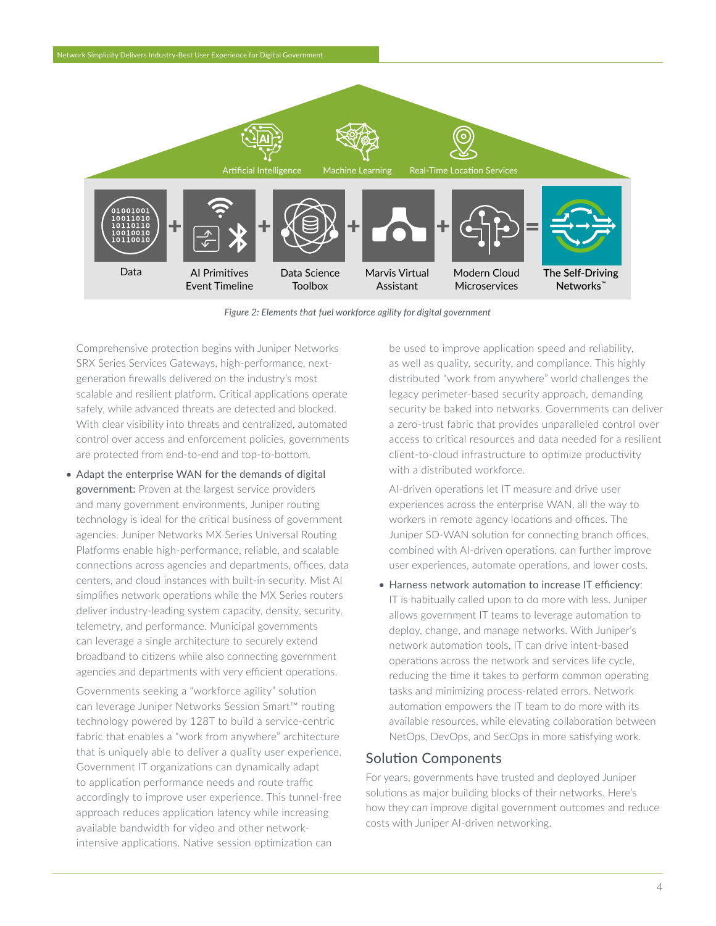

*Figure 2: Elements that fuel workforce agility for digital government*

Comprehensive protection begins with Juniper Networks SRX Series Services Gateways, high-performance, nextgeneration firewalls delivered on the industry's most scalable and resilient platform. Critical applications operate safely, while advanced threats are detected and blocked. With clear visibility into threats and centralized, automated control over access and enforcement policies, governments are protected from end-to-end and top-to-bottom.

• Adapt the enterprise WAN for the demands of digital government: Proven at the largest service providers and many government environments, Juniper routing technology is ideal for the critical business of government agencies. Juniper Networks MX Series Universal Routing Platforms enable high-performance, reliable, and scalable connections across agencies and departments, offices, data centers, and cloud instances with built-in security. Mist AI simplifies network operations while the MX Series routers deliver industry-leading system capacity, density, security, telemetry, and performance. Municipal governments can leverage a single architecture to securely extend broadband to citizens while also connecting government agencies and departments with very efficient operations.

Governments seeking a "workforce agility" solution can leverage Juniper Networks Session Smart™ routing technology powered by 128T to build a service-centric fabric that enables a "work from anywhere" architecture that is uniquely able to deliver a quality user experience. Government IT organizations can dynamically adapt to application performance needs and route traffic accordingly to improve user experience. This tunnel-free approach reduces application latency while increasing available bandwidth for video and other networkintensive applications. Native session optimization can

be used to improve application speed and reliability, as well as quality, security, and compliance. This highly distributed "work from anywhere" world challenges the legacy perimeter-based security approach, demanding security be baked into networks. Governments can deliver a zero-trust fabric that provides unparalleled control over access to critical resources and data needed for a resilient client-to-cloud infrastructure to optimize productivity with a distributed workforce.

AI-driven operations let IT measure and drive user experiences across the enterprise WAN, all the way to workers in remote agency locations and offices. The Juniper SD-WAN solution for connecting branch offices, combined with AI-driven operations, can further improve user experiences, automate operations, and lower costs.

• Harness network automation to increase IT efficiency: IT is habitually called upon to do more with less. Juniper allows government IT teams to leverage automation to deploy, change, and manage networks. With Juniper's network automation tools, IT can drive intent-based operations across the network and services life cycle, reducing the time it takes to perform common operating tasks and minimizing process-related errors. Network automation empowers the IT team to do more with its available resources, while elevating collaboration between NetOps, DevOps, and SecOps in more satisfying work.

# Solution Components

For years, governments have trusted and deployed Juniper solutions as major building blocks of their networks. Here's how they can improve digital government outcomes and reduce costs with Juniper AI-driven networking.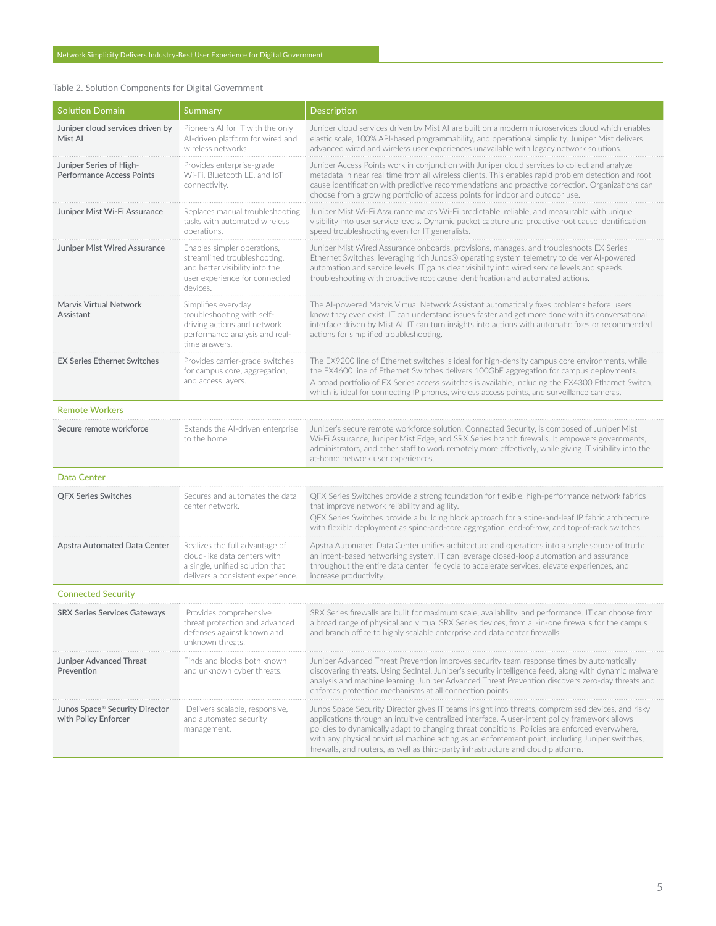## Table 2. Solution Components for Digital Government

| <b>Solution Domain</b>                                      | Summary                                                                                                                                    | Description                                                                                                                                                                                                                                                                                                                                                                                                                                                                                     |
|-------------------------------------------------------------|--------------------------------------------------------------------------------------------------------------------------------------------|-------------------------------------------------------------------------------------------------------------------------------------------------------------------------------------------------------------------------------------------------------------------------------------------------------------------------------------------------------------------------------------------------------------------------------------------------------------------------------------------------|
| Juniper cloud services driven by<br>Mist Al                 | Pioneers AI for IT with the only<br>AI-driven platform for wired and<br>wireless networks.                                                 | Juniper cloud services driven by Mist AI are built on a modern microservices cloud which enables<br>elastic scale, 100% API-based programmability, and operational simplicity. Juniper Mist delivers<br>advanced wired and wireless user experiences unavailable with legacy network solutions.                                                                                                                                                                                                 |
| Juniper Series of High-<br><b>Performance Access Points</b> | Provides enterprise-grade<br>Wi-Fi, Bluetooth LE, and IoT<br>connectivity.                                                                 | Juniper Access Points work in conjunction with Juniper cloud services to collect and analyze<br>metadata in near real time from all wireless clients. This enables rapid problem detection and root<br>cause identification with predictive recommendations and proactive correction. Organizations can<br>choose from a growing portfolio of access points for indoor and outdoor use.                                                                                                         |
| Juniper Mist Wi-Fi Assurance                                | Replaces manual troubleshooting<br>tasks with automated wireless<br>operations.                                                            | Juniper Mist Wi-Fi Assurance makes Wi-Fi predictable, reliable, and measurable with unique<br>visibility into user service levels. Dynamic packet capture and proactive root cause identification<br>speed troubleshooting even for IT generalists.                                                                                                                                                                                                                                             |
| Juniper Mist Wired Assurance                                | Enables simpler operations,<br>streamlined troubleshooting,<br>and better visibility into the<br>user experience for connected<br>devices. | Juniper Mist Wired Assurance onboards, provisions, manages, and troubleshoots EX Series<br>Ethernet Switches, leveraging rich Junos® operating system telemetry to deliver Al-powered<br>automation and service levels. IT gains clear visibility into wired service levels and speeds<br>troubleshooting with proactive root cause identification and automated actions.                                                                                                                       |
| Marvis Virtual Network<br>Assistant                         | Simplifies everyday<br>troubleshooting with self-<br>driving actions and network<br>performance analysis and real-<br>time answers.        | The AI-powered Marvis Virtual Network Assistant automatically fixes problems before users<br>know they even exist. IT can understand issues faster and get more done with its conversational<br>interface driven by Mist AI. IT can turn insights into actions with automatic fixes or recommended<br>actions for simplified troubleshooting.                                                                                                                                                   |
| <b>EX Series Ethernet Switches</b>                          | Provides carrier-grade switches<br>for campus core, aggregation,<br>and access layers.                                                     | The EX9200 line of Ethernet switches is ideal for high-density campus core environments, while<br>the EX4600 line of Ethernet Switches delivers 100GbE aggregation for campus deployments.<br>A broad portfolio of EX Series access switches is available, including the EX4300 Ethernet Switch,<br>which is ideal for connecting IP phones, wireless access points, and surveillance cameras.                                                                                                  |
| <b>Remote Workers</b>                                       |                                                                                                                                            |                                                                                                                                                                                                                                                                                                                                                                                                                                                                                                 |
| Secure remote workforce                                     | Extends the AI-driven enterprise<br>to the home.                                                                                           | Juniper's secure remote workforce solution, Connected Security, is composed of Juniper Mist<br>Wi-Fi Assurance, Juniper Mist Edge, and SRX Series branch firewalls. It empowers governments,<br>administrators, and other staff to work remotely more effectively, while giving IT visibility into the<br>at-home network user experiences.                                                                                                                                                     |
| Data Center                                                 |                                                                                                                                            |                                                                                                                                                                                                                                                                                                                                                                                                                                                                                                 |
| QFX Series Switches                                         | Secures and automates the data<br>center network.                                                                                          | QFX Series Switches provide a strong foundation for flexible, high-performance network fabrics<br>that improve network reliability and agility.<br>QFX Series Switches provide a building block approach for a spine-and-leaf IP fabric architecture<br>with flexible deployment as spine-and-core aggregation, end-of-row, and top-of-rack switches.                                                                                                                                           |
| Apstra Automated Data Center                                | Realizes the full advantage of<br>cloud-like data centers with<br>a single, unified solution that<br>delivers a consistent experience.     | Apstra Automated Data Center unifies architecture and operations into a single source of truth:<br>an intent-based networking system. IT can leverage closed-loop automation and assurance<br>throughout the entire data center life cycle to accelerate services, elevate experiences, and<br>increase productivity.                                                                                                                                                                           |
| <b>Connected Security</b>                                   |                                                                                                                                            |                                                                                                                                                                                                                                                                                                                                                                                                                                                                                                 |
| <b>SRX Series Services Gateways</b>                         | Provides comprehensive<br>threat protection and advanced<br>defenses against known and<br>unknown threats.                                 | SRX Series firewalls are built for maximum scale, availability, and performance. IT can choose from<br>a broad range of physical and virtual SRX Series devices, from all-in-one firewalls for the campus<br>and branch office to highly scalable enterprise and data center firewalls.                                                                                                                                                                                                         |
| Juniper Advanced Threat<br>Prevention                       | Finds and blocks both known<br>and unknown cyber threats.                                                                                  | Juniper Advanced Threat Prevention improves security team response times by automatically<br>discovering threats. Using SecIntel, Juniper's security intelligence feed, along with dynamic malware<br>analysis and machine learning, Juniper Advanced Threat Prevention discovers zero-day threats and<br>enforces protection mechanisms at all connection points.                                                                                                                              |
| Junos Space® Security Director<br>with Policy Enforcer      | Delivers scalable, responsive,<br>and automated security<br>management.                                                                    | Junos Space Security Director gives IT teams insight into threats, compromised devices, and risky<br>applications through an intuitive centralized interface. A user-intent policy framework allows<br>policies to dynamically adapt to changing threat conditions. Policies are enforced everywhere,<br>with any physical or virtual machine acting as an enforcement point, including Juniper switches,<br>firewalls, and routers, as well as third-party infrastructure and cloud platforms. |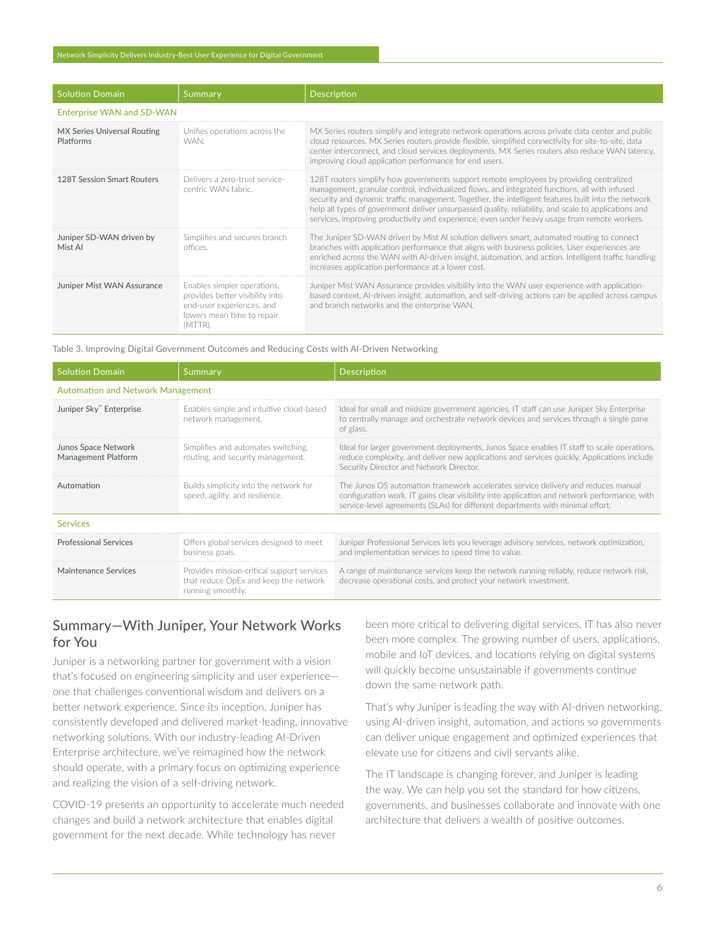### Network Simplicity Delivers Industry-Best User Experience for Digital Government

| <b>Solution Domain</b>                   | 'Summary                                                                                                                             | Description                                                                                                                                                                                                                                                                                                                                                                                                                                                                                             |
|------------------------------------------|--------------------------------------------------------------------------------------------------------------------------------------|---------------------------------------------------------------------------------------------------------------------------------------------------------------------------------------------------------------------------------------------------------------------------------------------------------------------------------------------------------------------------------------------------------------------------------------------------------------------------------------------------------|
| <b>Enterprise WAN and SD-WAN</b>         |                                                                                                                                      |                                                                                                                                                                                                                                                                                                                                                                                                                                                                                                         |
| MX Series Universal Routing<br>Platforms | Unifies operations across the<br>WAN.                                                                                                | MX Series routers simplify and integrate network operations across private data center and public<br>cloud resources. MX Series routers provide flexible, simplified connectivity for site-to-site, data<br>center interconnect, and cloud services deployments. MX Series routers also reduce WAN latency,<br>improving cloud application performance for end users.                                                                                                                                   |
| <b>128T Session Smart Routers</b>        | Delivers a zero-trust service-<br>centric WAN fabric.                                                                                | 128T routers simplify how governments support remote employees by providing centralized<br>management, granular control, individualized flows, and integrated functions, all with infused<br>security and dynamic traffic management. Together, the intelligent features built into the network<br>help all types of government deliver unsurpassed quality, reliability, and scale to applications and<br>services, improving productivity and experience, even under heavy usage from remote workers. |
| Juniper SD-WAN driven by<br>Mist Al      | Simplifies and secures branch<br>offices                                                                                             | The Juniper SD-WAN driven by Mist AI solution delivers smart, automated routing to connect<br>branches with application performance that aligns with business policies. User experiences are<br>enriched across the WAN with AI-driven insight, automation, and action. Intelligent traffic handling<br>increases application performance at a lower cost.                                                                                                                                              |
| Juniper Mist WAN Assurance               | Enables simpler operations,<br>provides better visibility into<br>end-user experiences, and<br>lowers mean time to repair<br>(MTTR). | Juniper Mist WAN Assurance provides visibility into the WAN user experience with application-<br>based context. Al-driven insight, automation, and self-driving actions can be applied across campus<br>and branch networks and the enterprise WAN.                                                                                                                                                                                                                                                     |

Table 3. Improving Digital Government Outcomes and Reducing Costs with AI-Driven Networking

| <b>Solution Domain</b>                            | Summary                                                                                                  | Description                                                                                                                                                                                                                                                         |  |  |
|---------------------------------------------------|----------------------------------------------------------------------------------------------------------|---------------------------------------------------------------------------------------------------------------------------------------------------------------------------------------------------------------------------------------------------------------------|--|--|
| <b>Automation and Network Management</b>          |                                                                                                          |                                                                                                                                                                                                                                                                     |  |  |
| Juniper Sky" Enterprise                           | Enables simple and intuitive cloud-based<br>network management.                                          | Ideal for small and midsize government agencies, IT staff can use Juniper Sky Enterprise<br>to centrally manage and orchestrate network devices and services through a single pane<br>of glass.                                                                     |  |  |
| Junos Space Network<br><b>Management Platform</b> | Simplifies and automates switching.<br>routing, and security management.                                 | Ideal for larger government deployments, Junos Space enables IT staff to scale operations,<br>reduce complexity, and deliver new applications and services quickly. Applications include<br>Security Director and Network Director.                                 |  |  |
| Automation                                        | Builds simplicity into the network for<br>speed, agility, and resilience.                                | The Junos OS automation framework accelerates service delivery and reduces manual<br>configuration work. IT gains clear visibility into application and network performance, with<br>service-level agreements (SLAs) for different departments with minimal effort. |  |  |
| Services                                          |                                                                                                          |                                                                                                                                                                                                                                                                     |  |  |
| <b>Professional Services</b>                      | Offers global services designed to meet<br>business goals.                                               | Juniper Professional Services lets you leverage advisory services, network optimization,<br>and implementation services to speed time to value.                                                                                                                     |  |  |
| Maintenance Services                              | Provides mission-critical support services<br>that reduce OpEx and keep the network<br>running smoothly. | A range of maintenance services keep the network running reliably, reduce network risk,<br>decrease operational costs, and protect your network investment.                                                                                                         |  |  |

# Summary—With Juniper, Your Network Works for You

Juniper is a networking partner for government with a vision that's focused on engineering simplicity and user experience one that challenges conventional wisdom and delivers on a better network experience. Since its inception, Juniper has consistently developed and delivered market-leading, innovative networking solutions. With our industry-leading AI-Driven Enterprise architecture, we've reimagined how the network should operate, with a primary focus on optimizing experience and realizing the vision of a self-driving network.

COVID-19 presents an opportunity to accelerate much needed changes and build a network architecture that enables digital government for the next decade. While technology has never

been more critical to delivering digital services, IT has also never been more complex. The growing number of users, applications, mobile and IoT devices, and locations relying on digital systems will quickly become unsustainable if governments continue down the same network path.

That's why Juniper is leading the way with AI-driven networking, using AI-driven insight, automation, and actions so governments can deliver unique engagement and optimized experiences that elevate use for citizens and civil servants alike.

The IT landscape is changing forever, and Juniper is leading the way. We can help you set the standard for how citizens, governments, and businesses collaborate and innovate with one architecture that delivers a wealth of positive outcomes.